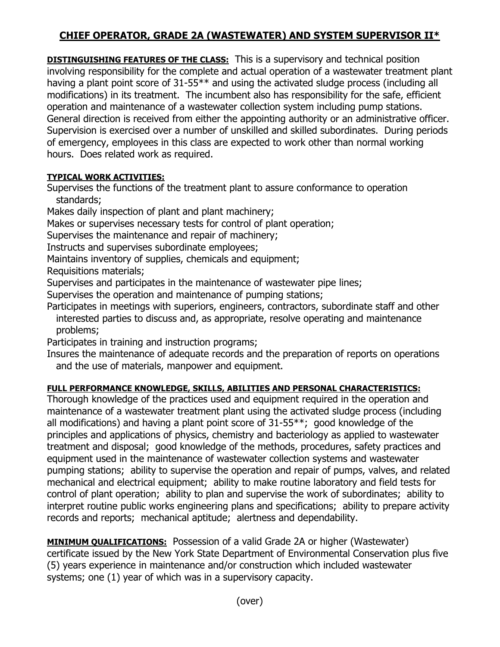## **CHIEF OPERATOR, GRADE 2A (WASTEWATER) AND SYSTEM SUPERVISOR II\***

**DISTINGUISHING FEATURES OF THE CLASS:** This is a supervisory and technical position involving responsibility for the complete and actual operation of a wastewater treatment plant having a plant point score of 31-55<sup>\*\*</sup> and using the activated sludge process (including all modifications) in its treatment. The incumbent also has responsibility for the safe, efficient operation and maintenance of a wastewater collection system including pump stations. General direction is received from either the appointing authority or an administrative officer. Supervision is exercised over a number of unskilled and skilled subordinates. During periods of emergency, employees in this class are expected to work other than normal working hours. Does related work as required.

## **TYPICAL WORK ACTIVITIES:**

Supervises the functions of the treatment plant to assure conformance to operation standards;

Makes daily inspection of plant and plant machinery;

Makes or supervises necessary tests for control of plant operation;

Supervises the maintenance and repair of machinery;

Instructs and supervises subordinate employees;

Maintains inventory of supplies, chemicals and equipment;

Requisitions materials;

Supervises and participates in the maintenance of wastewater pipe lines;

Supervises the operation and maintenance of pumping stations;

Participates in meetings with superiors, engineers, contractors, subordinate staff and other interested parties to discuss and, as appropriate, resolve operating and maintenance problems;

Participates in training and instruction programs;

Insures the maintenance of adequate records and the preparation of reports on operations and the use of materials, manpower and equipment.

## **FULL PERFORMANCE KNOWLEDGE, SKILLS, ABILITIES AND PERSONAL CHARACTERISTICS:**

Thorough knowledge of the practices used and equipment required in the operation and maintenance of a wastewater treatment plant using the activated sludge process (including all modifications) and having a plant point score of 31-55\*\*; good knowledge of the principles and applications of physics, chemistry and bacteriology as applied to wastewater treatment and disposal; good knowledge of the methods, procedures, safety practices and equipment used in the maintenance of wastewater collection systems and wastewater pumping stations; ability to supervise the operation and repair of pumps, valves, and related mechanical and electrical equipment; ability to make routine laboratory and field tests for control of plant operation; ability to plan and supervise the work of subordinates; ability to interpret routine public works engineering plans and specifications; ability to prepare activity records and reports; mechanical aptitude; alertness and dependability.

**MINIMUM QUALIFICATIONS:** Possession of a valid Grade 2A or higher (Wastewater) certificate issued by the New York State Department of Environmental Conservation plus five (5) years experience in maintenance and/or construction which included wastewater systems; one (1) year of which was in a supervisory capacity.